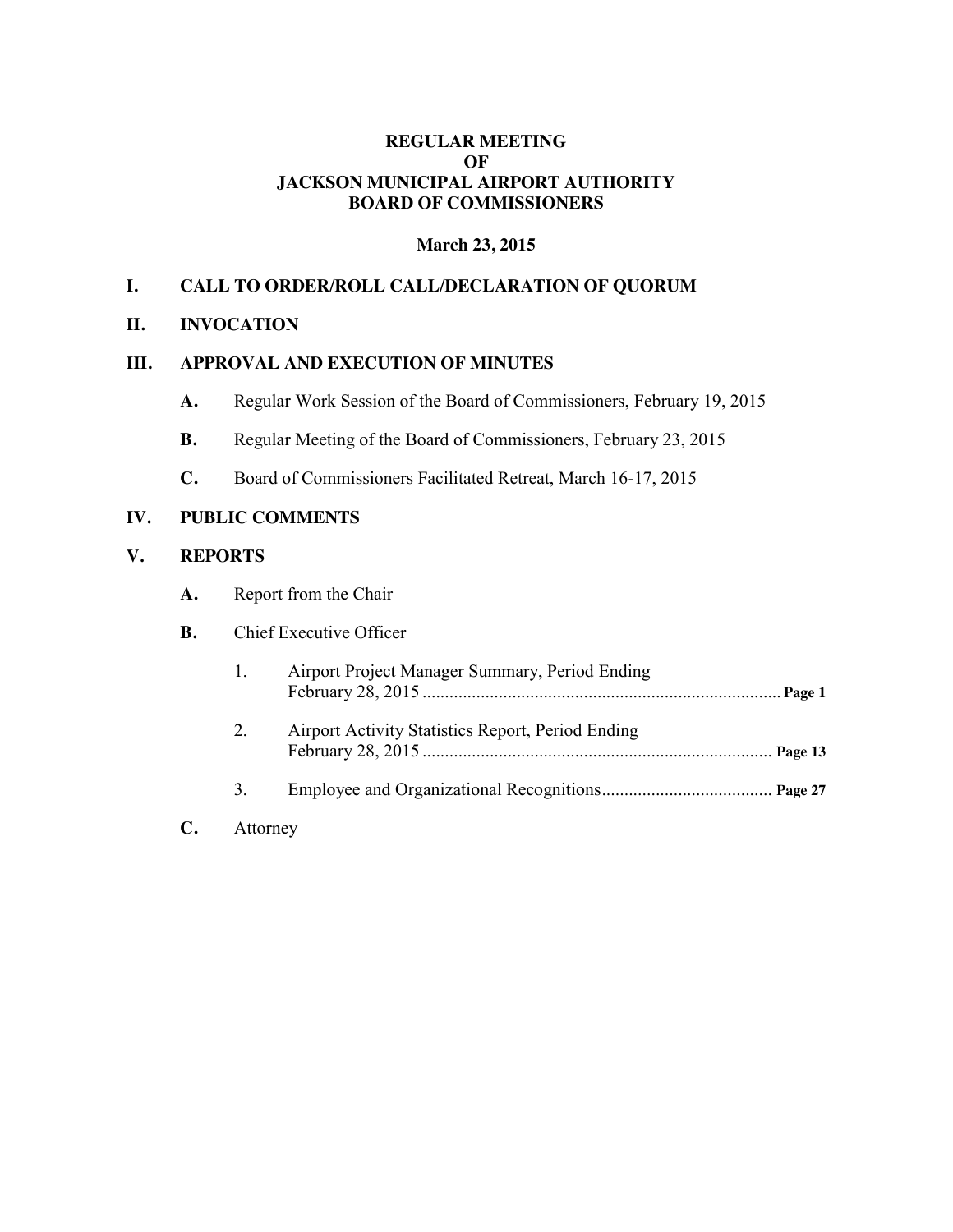### **REGULAR MEETING OF JACKSON MUNICIPAL AIRPORT AUTHORITY BOARD OF COMMISSIONERS**

### **March 23, 2015**

### **I. CALL TO ORDER/ROLL CALL/DECLARATION OF QUORUM**

#### **II. INVOCATION**

#### **III. APPROVAL AND EXECUTION OF MINUTES**

- **A.** Regular Work Session of the Board of Commissioners, February 19, 2015
- **B.** Regular Meeting of the Board of Commissioners, February 23, 2015
- **C.** Board of Commissioners Facilitated Retreat, March 16-17, 2015

#### **IV. PUBLIC COMMENTS**

#### **V. REPORTS**

**A.** Report from the Chair

#### **B.** Chief Executive Officer

| 1. | Airport Project Manager Summary, Period Ending    |  |
|----|---------------------------------------------------|--|
| 2. | Airport Activity Statistics Report, Period Ending |  |
| 3. |                                                   |  |

**C.** Attorney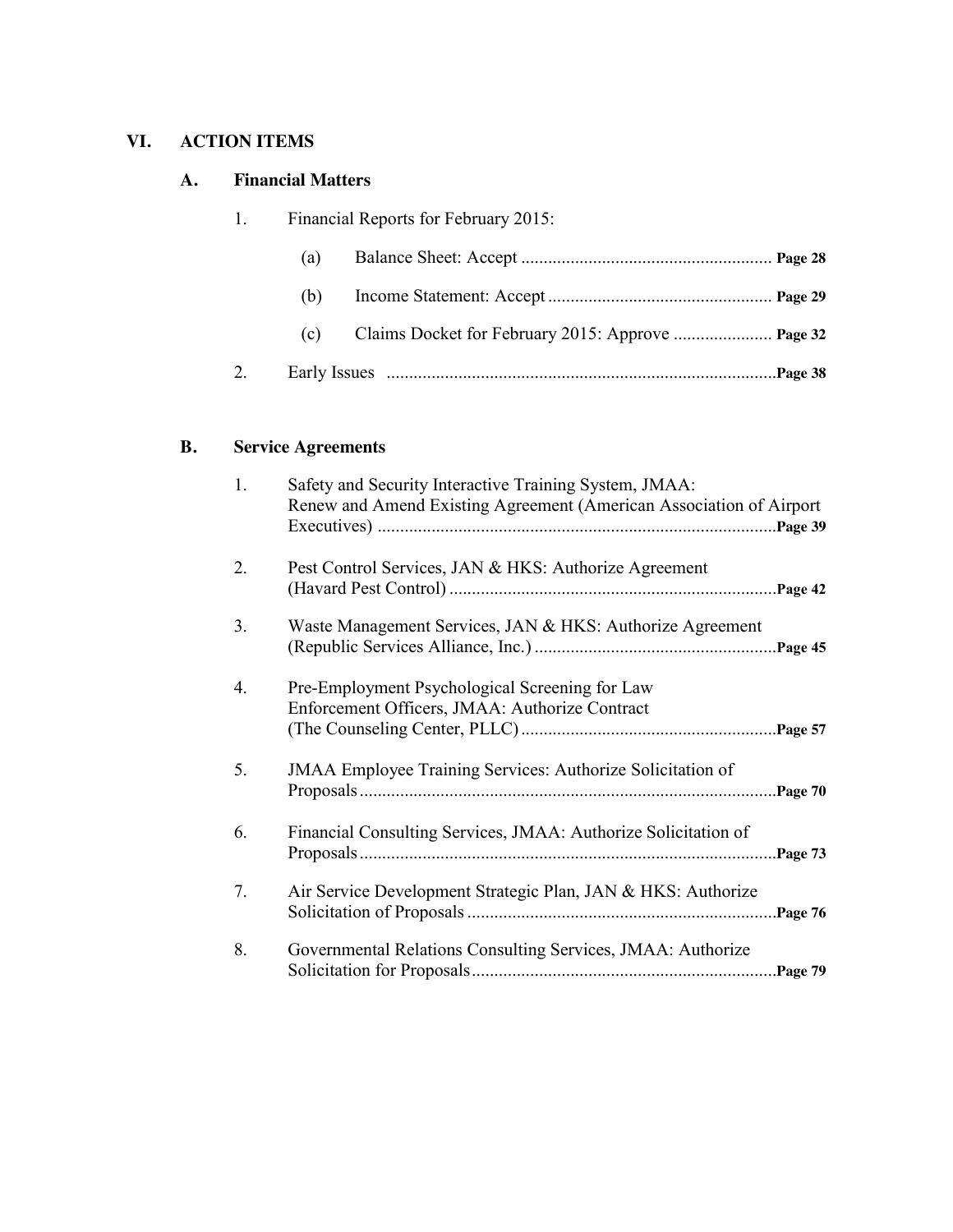# **VI. ACTION ITEMS**

## **A. Financial Matters**

| 1. |     | Financial Reports for February 2015: |  |
|----|-----|--------------------------------------|--|
|    | (a) |                                      |  |
|    | (b) |                                      |  |
|    | (c) |                                      |  |
|    |     |                                      |  |

# **B. Service Agreements**

| 1. | Safety and Security Interactive Training System, JMAA:<br>Renew and Amend Existing Agreement (American Association of Airport |  |
|----|-------------------------------------------------------------------------------------------------------------------------------|--|
| 2. | Pest Control Services, JAN & HKS: Authorize Agreement                                                                         |  |
| 3. | Waste Management Services, JAN & HKS: Authorize Agreement                                                                     |  |
| 4. | Pre-Employment Psychological Screening for Law<br>Enforcement Officers, JMAA: Authorize Contract                              |  |
| 5. | <b>JMAA Employee Training Services: Authorize Solicitation of</b>                                                             |  |
| 6. | Financial Consulting Services, JMAA: Authorize Solicitation of                                                                |  |
| 7. | Air Service Development Strategic Plan, JAN & HKS: Authorize                                                                  |  |
| 8. | Governmental Relations Consulting Services, JMAA: Authorize                                                                   |  |